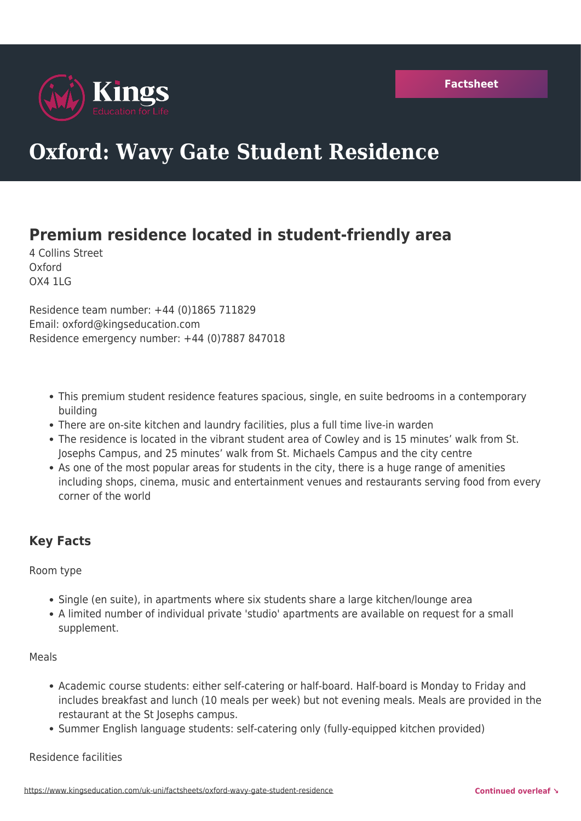

# **Oxford: Wavy Gate Student Residence**

# **Premium residence located in student-friendly area**

4 Collins Street Oxford OX4 1LG

Residence team number: +44 (0)1865 711829 Email: oxford@kingseducation.com Residence emergency number: +44 (0)7887 847018

- This premium student residence features spacious, single, en suite bedrooms in a contemporary building
- There are on-site kitchen and laundry facilities, plus a full time live-in warden
- The residence is located in the vibrant student area of Cowley and is 15 minutes' walk from St. Josephs Campus, and 25 minutes' walk from St. Michaels Campus and the city centre
- As one of the most popular areas for students in the city, there is a huge range of amenities including shops, cinema, music and entertainment venues and restaurants serving food from every corner of the world

## **Key Facts**

#### Room type

- Single (en suite), in apartments where six students share a large kitchen/lounge area
- A limited number of individual private 'studio' apartments are available on request for a small supplement.

#### Meals

- Academic course students: either self-catering or half-board. Half-board is Monday to Friday and includes breakfast and lunch (10 meals per week) but not evening meals. Meals are provided in the restaurant at the St Josephs campus.
- Summer English language students: self-catering only (fully-equipped kitchen provided)

#### Residence facilities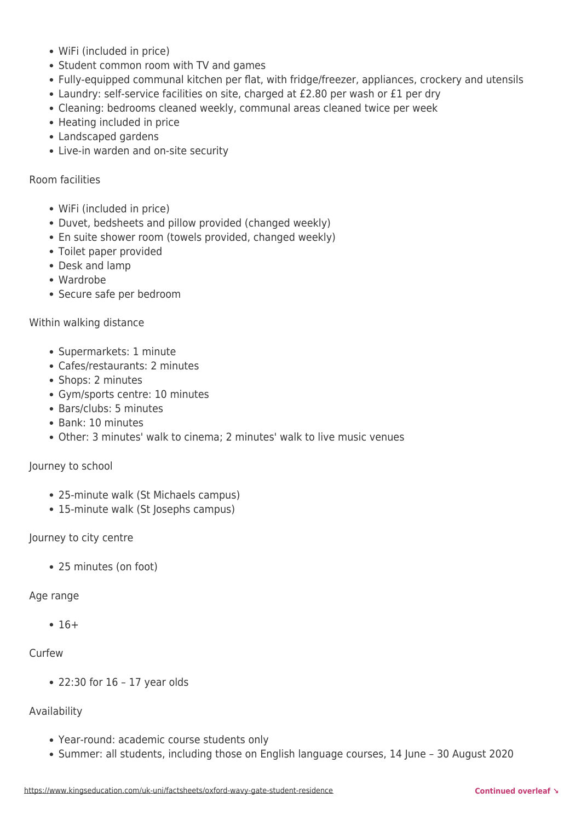- WiFi (included in price)
- Student common room with TV and games
- Fully-equipped communal kitchen per flat, with fridge/freezer, appliances, crockery and utensils
- Laundry: self-service facilities on site, charged at £2.80 per wash or £1 per dry
- Cleaning: bedrooms cleaned weekly, communal areas cleaned twice per week
- Heating included in price
- Landscaped gardens
- Live-in warden and on-site security

Room facilities

- WiFi (included in price)
- Duvet, bedsheets and pillow provided (changed weekly)
- En suite shower room (towels provided, changed weekly)
- Toilet paper provided
- Desk and lamp
- Wardrobe
- Secure safe per bedroom

#### Within walking distance

- Supermarkets: 1 minute
- Cafes/restaurants: 2 minutes
- Shops: 2 minutes
- Gym/sports centre: 10 minutes
- Bars/clubs: 5 minutes
- Bank: 10 minutes
- Other: 3 minutes' walk to cinema; 2 minutes' walk to live music venues

#### Journey to school

- 25-minute walk (St Michaels campus)
- 15-minute walk (St Josephs campus)

#### Journey to city centre

25 minutes (on foot)

#### Age range

 $• 16+$ 

#### Curfew

22:30 for 16 – 17 year olds

## Availability

- Year-round: academic course students only
- Summer: all students, including those on English language courses, 14 June 30 August 2020